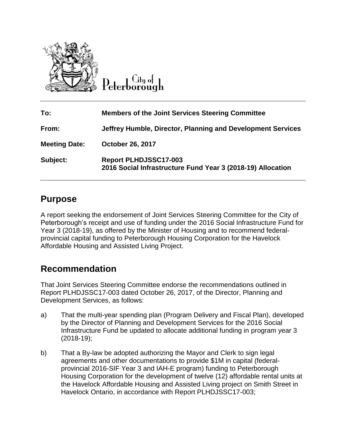

City of eterborough

| To:                  | <b>Members of the Joint Services Steering Committee</b>                                     |
|----------------------|---------------------------------------------------------------------------------------------|
| From:                | Jeffrey Humble, Director, Planning and Development Services                                 |
| <b>Meeting Date:</b> | <b>October 26, 2017</b>                                                                     |
| Subject:             | <b>Report PLHDJSSC17-003</b><br>2016 Social Infrastructure Fund Year 3 (2018-19) Allocation |

## **Purpose**

A report seeking the endorsement of Joint Services Steering Committee for the City of Peterborough's receipt and use of funding under the 2016 Social Infrastructure Fund for Year 3 (2018-19), as offered by the Minister of Housing and to recommend federalprovincial capital funding to Peterborough Housing Corporation for the Havelock Affordable Housing and Assisted Living Project.

## **Recommendation**

That Joint Services Steering Committee endorse the recommendations outlined in Report PLHDJSSC17-003 dated October 26, 2017, of the Director, Planning and Development Services, as follows:

- a) That the multi-year spending plan (Program Delivery and Fiscal Plan), developed by the Director of Planning and Development Services for the 2016 Social Infrastructure Fund be updated to allocate additional funding in program year 3 (2018-19);
- b) That a By-law be adopted authorizing the Mayor and Clerk to sign legal agreements and other documentations to provide \$1M in capital (federalprovincial 2016-SIF Year 3 and IAH-E program) funding to Peterborough Housing Corporation for the development of twelve (12) affordable rental units at the Havelock Affordable Housing and Assisted Living project on Smith Street in Havelock Ontario, in accordance with Report PLHDJSSC17-003;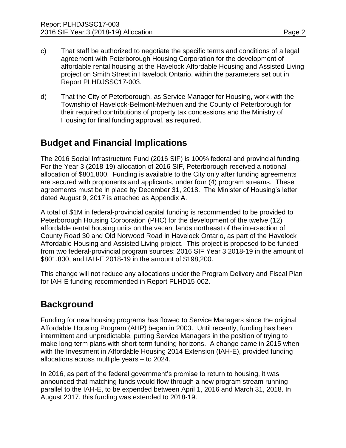- c) That staff be authorized to negotiate the specific terms and conditions of a legal agreement with Peterborough Housing Corporation for the development of affordable rental housing at the Havelock Affordable Housing and Assisted Living project on Smith Street in Havelock Ontario, within the parameters set out in Report PLHDJSSC17-003.
- d) That the City of Peterborough, as Service Manager for Housing, work with the Township of Havelock-Belmont-Methuen and the County of Peterborough for their required contributions of property tax concessions and the Ministry of Housing for final funding approval, as required.

# **Budget and Financial Implications**

The 2016 Social Infrastructure Fund (2016 SIF) is 100% federal and provincial funding. For the Year 3 (2018-19) allocation of 2016 SIF, Peterborough received a notional allocation of \$801,800. Funding is available to the City only after funding agreements are secured with proponents and applicants, under four (4) program streams. These agreements must be in place by December 31, 2018. The Minister of Housing's letter dated August 9, 2017 is attached as Appendix A.

A total of \$1M in federal-provincial capital funding is recommended to be provided to Peterborough Housing Corporation (PHC) for the development of the twelve (12) affordable rental housing units on the vacant lands northeast of the intersection of County Road 30 and Old Norwood Road in Havelock Ontario, as part of the Havelock Affordable Housing and Assisted Living project. This project is proposed to be funded from two federal-provincial program sources: 2016 SIF Year 3 2018-19 in the amount of \$801,800, and IAH-E 2018-19 in the amount of \$198,200.

This change will not reduce any allocations under the Program Delivery and Fiscal Plan for IAH-E funding recommended in Report PLHD15-002.

# **Background**

Funding for new housing programs has flowed to Service Managers since the original Affordable Housing Program (AHP) began in 2003. Until recently, funding has been intermittent and unpredictable, putting Service Managers in the position of trying to make long-term plans with short-term funding horizons. A change came in 2015 when with the Investment in Affordable Housing 2014 Extension (IAH-E), provided funding allocations across multiple years – to 2024.

In 2016, as part of the federal government's promise to return to housing, it was announced that matching funds would flow through a new program stream running parallel to the IAH-E, to be expended between April 1, 2016 and March 31, 2018. In August 2017, this funding was extended to 2018-19.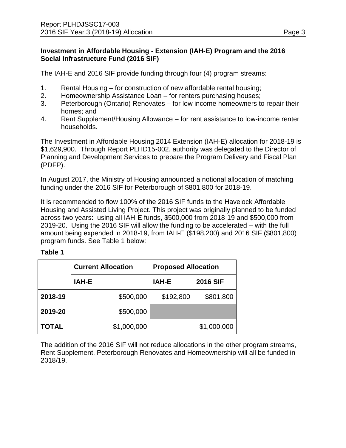#### **Investment in Affordable Housing - Extension (IAH-E) Program and the 2016 Social Infrastructure Fund (2016 SIF)**

The IAH-E and 2016 SIF provide funding through four (4) program streams:

- 1. Rental Housing for construction of new affordable rental housing;
- 2. Homeownership Assistance Loan for renters purchasing houses;
- 3. Peterborough (Ontario) Renovates for low income homeowners to repair their homes; and
- 4. Rent Supplement/Housing Allowance for rent assistance to low-income renter households.

The Investment in Affordable Housing 2014 Extension (IAH-E) allocation for 2018-19 is \$1,629,900. Through Report PLHD15-002, authority was delegated to the Director of Planning and Development Services to prepare the Program Delivery and Fiscal Plan (PDFP).

In August 2017, the Ministry of Housing announced a notional allocation of matching funding under the 2016 SIF for Peterborough of \$801,800 for 2018-19.

It is recommended to flow 100% of the 2016 SIF funds to the Havelock Affordable Housing and Assisted Living Project. This project was originally planned to be funded across two years: using all IAH-E funds, \$500,000 from 2018-19 and \$500,000 from 2019-20. Using the 2016 SIF will allow the funding to be accelerated – with the full amount being expended in 2018-19, from IAH-E (\$198,200) and 2016 SIF (\$801,800) program funds. See Table 1 below:

#### **Table 1**

|              | <b>Current Allocation</b> | <b>Proposed Allocation</b> |                 |
|--------------|---------------------------|----------------------------|-----------------|
|              | IAH-E                     | IAH-E                      | <b>2016 SIF</b> |
| 2018-19      | \$500,000                 | \$192,800                  | \$801,800       |
| 2019-20      | \$500,000                 |                            |                 |
| <b>TOTAL</b> | \$1,000,000               |                            | \$1,000,000     |

The addition of the 2016 SIF will not reduce allocations in the other program streams, Rent Supplement, Peterborough Renovates and Homeownership will all be funded in 2018/19.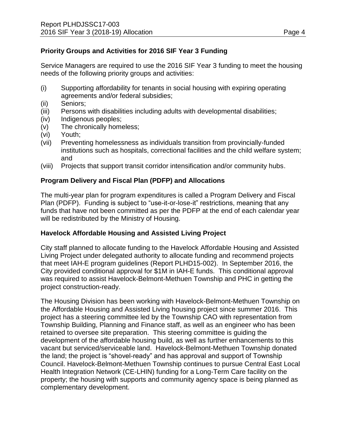### **Priority Groups and Activities for 2016 SIF Year 3 Funding**

Service Managers are required to use the 2016 SIF Year 3 funding to meet the housing needs of the following priority groups and activities:

- (i) Supporting affordability for tenants in social housing with expiring operating agreements and/or federal subsidies;
- (ii) Seniors;
- (iii) Persons with disabilities including adults with developmental disabilities;
- (iv) Indigenous peoples;
- (v) The chronically homeless;
- (vi) Youth;
- (vii) Preventing homelessness as individuals transition from provincially-funded institutions such as hospitals, correctional facilities and the child welfare system; and
- (viii) Projects that support transit corridor intensification and/or community hubs.

#### **Program Delivery and Fiscal Plan (PDFP) and Allocations**

The multi-year plan for program expenditures is called a Program Delivery and Fiscal Plan (PDFP). Funding is subject to "use-it-or-lose-it" restrictions, meaning that any funds that have not been committed as per the PDFP at the end of each calendar year will be redistributed by the Ministry of Housing.

#### **Havelock Affordable Housing and Assisted Living Project**

City staff planned to allocate funding to the Havelock Affordable Housing and Assisted Living Project under delegated authority to allocate funding and recommend projects that meet IAH-E program guidelines (Report PLHD15-002). In September 2016, the City provided conditional approval for \$1M in IAH-E funds. This conditional approval was required to assist Havelock-Belmont-Methuen Township and PHC in getting the project construction-ready.

The Housing Division has been working with Havelock-Belmont-Methuen Township on the Affordable Housing and Assisted Living housing project since summer 2016. This project has a steering committee led by the Township CAO with representation from Township Building, Planning and Finance staff, as well as an engineer who has been retained to oversee site preparation. This steering committee is guiding the development of the affordable housing build, as well as further enhancements to this vacant but serviced/serviceable land. Havelock-Belmont-Methuen Township donated the land; the project is "shovel-ready" and has approval and support of Township Council. Havelock-Belmont-Methuen Township continues to pursue Central East Local Health Integration Network (CE-LHIN) funding for a Long-Term Care facility on the property; the housing with supports and community agency space is being planned as complementary development.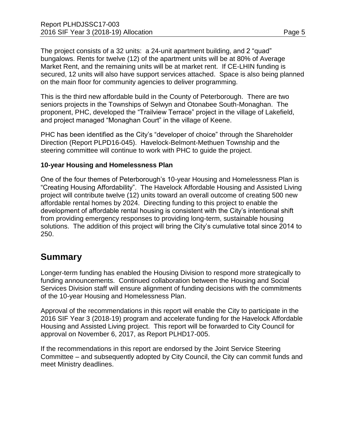The project consists of a 32 units: a 24-unit apartment building, and 2 "quad" bungalows. Rents for twelve (12) of the apartment units will be at 80% of Average Market Rent, and the remaining units will be at market rent. If CE-LHIN funding is secured, 12 units will also have support services attached. Space is also being planned on the main floor for community agencies to deliver programming.

This is the third new affordable build in the County of Peterborough. There are two seniors projects in the Townships of Selwyn and Otonabee South-Monaghan. The proponent, PHC, developed the "Trailview Terrace" project in the village of Lakefield, and project managed "Monaghan Court" in the village of Keene.

PHC has been identified as the City's "developer of choice" through the Shareholder Direction (Report PLPD16-045). Havelock-Belmont-Methuen Township and the steering committee will continue to work with PHC to guide the project.

#### **10-year Housing and Homelessness Plan**

One of the four themes of Peterborough's 10-year Housing and Homelessness Plan is "Creating Housing Affordability". The Havelock Affordable Housing and Assisted Living project will contribute twelve (12) units toward an overall outcome of creating 500 new affordable rental homes by 2024. Directing funding to this project to enable the development of affordable rental housing is consistent with the City's intentional shift from providing emergency responses to providing long-term, sustainable housing solutions. The addition of this project will bring the City's cumulative total since 2014 to 250.

## **Summary**

Longer-term funding has enabled the Housing Division to respond more strategically to funding announcements. Continued collaboration between the Housing and Social Services Division staff will ensure alignment of funding decisions with the commitments of the 10-year Housing and Homelessness Plan.

Approval of the recommendations in this report will enable the City to participate in the 2016 SIF Year 3 (2018-19) program and accelerate funding for the Havelock Affordable Housing and Assisted Living project. This report will be forwarded to City Council for approval on November 6, 2017, as Report PLHD17-005.

If the recommendations in this report are endorsed by the Joint Service Steering Committee – and subsequently adopted by City Council, the City can commit funds and meet Ministry deadlines.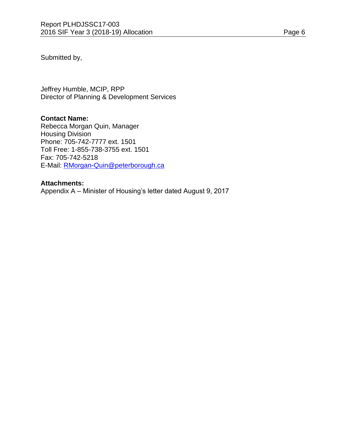Submitted by,

Jeffrey Humble, MCIP, RPP Director of Planning & Development Services

#### **Contact Name:**

Rebecca Morgan Quin, Manager Housing Division Phone: 705-742-7777 ext. 1501 Toll Free: 1-855-738-3755 ext. 1501 Fax: 705-742-5218 E-Mail: [RMorgan-Quin@peterborough.ca](mailto:RMorgan-Quin@peterborough.ca)

#### **Attachments:**

Appendix A – Minister of Housing's letter dated August 9, 2017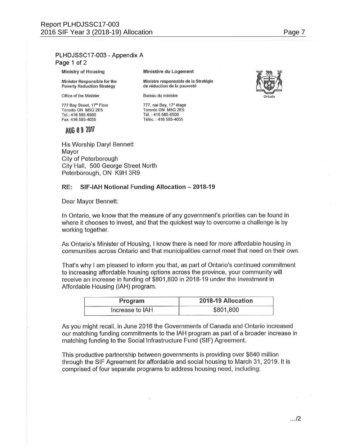#### PLHDJSSC17-003 - Appendix A Page 1 of 2

Ministry of Housing

Minister Responsible for the **Poverty Reduction Strategy** 

Office of the Minister

777 Bay Street, 17th Floor Toronto ON M5G 2E5 Tel.: 416 585-6500 Fax: 416 585-4035

Ministère du Logement

Ministre responsable de la Stratégie de réduction de la pauvreté

Bureau du ministre

777, rue Bay, 17<sup>e</sup> étage<br>Toronto ON M5G 2E5 Tél.: 416 585-6500 Téléc.: 416 585-4035

AUG 0 9 2017

His Worship Daryl Bennett Mayor City of Peterborough City Hall, 500 George Street North Peterborough, ON K9H 3R9

#### RE: SIF-IAH Notional Funding Allocation - 2018-19

Dear Mayor Bennett:

In Ontario, we know that the measure of any government's priorities can be found in where it chooses to invest, and that the quickest way to overcome a challenge is by working together.

As Ontario's Minister of Housing, I know there is need for more affordable housing in communities across Ontario and that municipalities cannot meet that need on their own.

That's why I am pleased to inform you that, as part of Ontario's continued commitment to increasing affordable housing options across the province, your community will receive an increase in funding of \$801,800 in 2018-19 under the Investment in Affordable Housing (IAH) program.

| Program         | 2018-19 Allocation |  |
|-----------------|--------------------|--|
| Increase to IAH | \$801,800          |  |

As you might recall, in June 2016 the Governments of Canada and Ontario increased our matching funding commitments to the IAH program as part of a broader increase in matching funding to the Social Infrastructure Fund (SIF) Agreement.

This productive partnership between governments is providing over \$640 million through the SIF Agreement for affordable and social housing to March 31, 2019. It is comprised of four separate programs to address housing need, including: